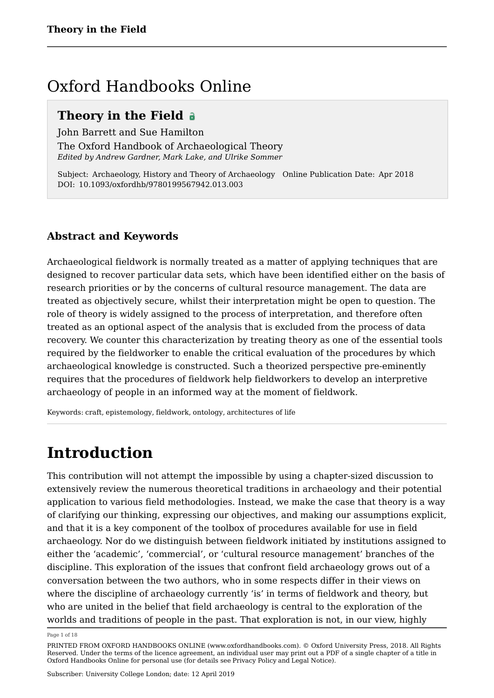## Oxford Handbooks Online

### **Theory in the Field**

John Barrett and Sue Hamilton The Oxford Handbook of Archaeological Theory *Edited by Andrew Gardner, Mark Lake, and Ulrike Sommer*

Subject: Archaeology, History and Theory of Archaeology Online Publication Date: Apr 2018 DOI: 10.1093/oxfordhb/9780199567942.013.003

### **Abstract and Keywords**

Archaeological fieldwork is normally treated as a matter of applying techniques that are designed to recover particular data sets, which have been identified either on the basis of research priorities or by the concerns of cultural resource management. The data are treated as objectively secure, whilst their interpretation might be open to question. The role of theory is widely assigned to the process of interpretation, and therefore often treated as an optional aspect of the analysis that is excluded from the process of data recovery. We counter this characterization by treating theory as one of the essential tools required by the fieldworker to enable the critical evaluation of the procedures by which archaeological knowledge is constructed. Such a theorized perspective pre-eminently requires that the procedures of fieldwork help fieldworkers to develop an interpretive archaeology of people in an informed way at the moment of fieldwork.

Keywords: craft, epistemology, fieldwork, ontology, architectures of life

# **Introduction**

This contribution will not attempt the impossible by using a chapter-sized discussion to extensively review the numerous theoretical traditions in archaeology and their potential application to various field methodologies. Instead, we make the case that theory is a way of clarifying our thinking, expressing our objectives, and making our assumptions explicit, and that it is a key component of the toolbox of procedures available for use in field archaeology. Nor do we distinguish between fieldwork initiated by institutions assigned to either the 'academic', 'commercial', or 'cultural resource management' branches of the discipline. This exploration of the issues that confront field archaeology grows out of a conversation between the two authors, who in some respects differ in their views on where the discipline of archaeology currently 'is' in terms of fieldwork and theory, but who are united in the belief that field archaeology is central to the exploration of the worlds and traditions of people in the past. That exploration is not, in our view, highly

Page 1 of 18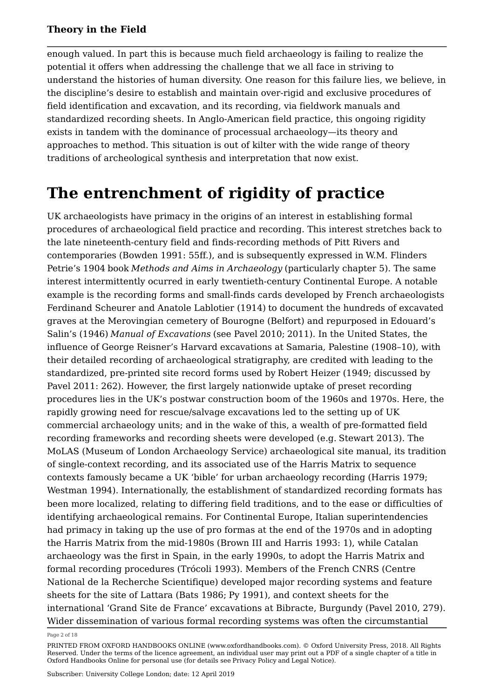enough valued. In part this is because much field archaeology is failing to realize the potential it offers when addressing the challenge that we all face in striving to understand the histories of human diversity. One reason for this failure lies, we believe, in the discipline's desire to establish and maintain over-rigid and exclusive procedures of field identification and excavation, and its recording, via fieldwork manuals and standardized recording sheets. In Anglo-American field practice, this ongoing rigidity exists in tandem with the dominance of processual archaeology—its theory and approaches to method. This situation is out of kilter with the wide range of theory traditions of archeological synthesis and interpretation that now exist.

### **The entrenchment of rigidity of practice**

UK archaeologists have primacy in the origins of an interest in establishing formal procedures of archaeological field practice and recording. This interest stretches back to the late nineteenth-century field and finds-recording methods of Pitt Rivers and contemporaries (Bowden 1991: 55ff.), and is subsequently expressed in W.M. Flinders Petrie's 1904 book *Methods and Aims in Archaeology* (particularly chapter 5). The same interest intermittently ocurred in early twentieth-century Continental Europe. A notable example is the recording forms and small-finds cards developed by French archaeologists Ferdinand Scheurer and Anatole Lablotier (1914) to document the hundreds of excavated graves at the Merovingian cemetery of Bourogne (Belfort) and repurposed in Edouard's Salin's (1946) *Manual of Excavations* (see Pavel 2010; 2011). In the United States, the influence of George Reisner's Harvard excavations at Samaria, Palestine (1908–10), with their detailed recording of archaeological stratigraphy, are credited with leading to the standardized, pre-printed site record forms used by Robert Heizer (1949; discussed by Pavel 2011: 262). However, the first largely nationwide uptake of preset recording procedures lies in the UK's postwar construction boom of the 1960s and 1970s. Here, the rapidly growing need for rescue/salvage excavations led to the setting up of UK commercial archaeology units; and in the wake of this, a wealth of pre-formatted field recording frameworks and recording sheets were developed (e.g. Stewart 2013). The MoLAS (Museum of London Archaeology Service) archaeological site manual, its tradition of single-context recording, and its associated use of the Harris Matrix to sequence contexts famously became a UK 'bible' for urban archaeology recording (Harris 1979; Westman 1994). Internationally, the establishment of standardized recording formats has been more localized, relating to differing field traditions, and to the ease or difficulties of identifying archaeological remains. For Continental Europe, Italian superintendencies had primacy in taking up the use of pro formas at the end of the 1970s and in adopting the Harris Matrix from the mid-1980s (Brown III and Harris 1993: 1), while Catalan archaeology was the first in Spain, in the early 1990s, to adopt the Harris Matrix and formal recording procedures (Trócoli 1993). Members of the French CNRS (Centre National de la Recherche Scientifique) developed major recording systems and feature sheets for the site of Lattara (Bats 1986; Py 1991), and context sheets for the international 'Grand Site de France' excavations at Bibracte, Burgundy (Pavel 2010, 279). Wider dissemination of various formal recording systems was often the circumstantial

Page 2 of 18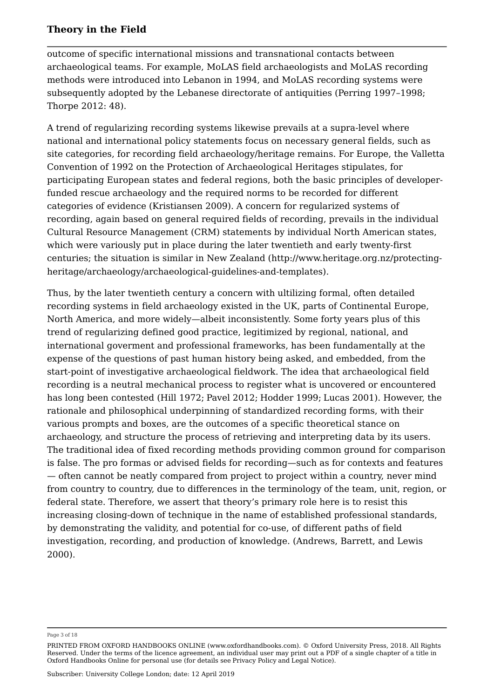outcome of specific international missions and transnational contacts between archaeological teams. For example, MoLAS field archaeologists and MoLAS recording methods were introduced into Lebanon in 1994, and MoLAS recording systems were subsequently adopted by the Lebanese directorate of antiquities (Perring 1997–1998; Thorpe 2012: 48).

A trend of regularizing recording systems likewise prevails at a supra-level where national and international policy statements focus on necessary general fields, such as site categories, for recording field archaeology/heritage remains. For Europe, the Valletta Convention of 1992 on the Protection of Archaeological Heritages stipulates, for participating European states and federal regions, both the basic principles of developerfunded rescue archaeology and the required norms to be recorded for different categories of evidence (Kristiansen 2009). A concern for regularized systems of recording, again based on general required fields of recording, prevails in the individual Cultural Resource Management (CRM) statements by individual North American states, which were variously put in place during the later twentieth and early twenty-first centuries; the situation is similar in New Zealand (http://www.heritage.org.nz/protectingheritage/archaeology/archaeological-guidelines-and-templates).

Thus, by the later twentieth century a concern with ultilizing formal, often detailed recording systems in field archaeology existed in the UK, parts of Continental Europe, North America, and more widely—albeit inconsistently. Some forty years plus of this trend of regularizing defined good practice, legitimized by regional, national, and international goverment and professional frameworks, has been fundamentally at the expense of the questions of past human history being asked, and embedded, from the start-point of investigative archaeological fieldwork. The idea that archaeological field recording is a neutral mechanical process to register what is uncovered or encountered has long been contested (Hill 1972; Pavel 2012; Hodder 1999; Lucas 2001). However, the rationale and philosophical underpinning of standardized recording forms, with their various prompts and boxes, are the outcomes of a specific theoretical stance on archaeology, and structure the process of retrieving and interpreting data by its users. The traditional idea of fixed recording methods providing common ground for comparison is false. The pro formas or advised fields for recording—such as for contexts and features — often cannot be neatly compared from project to project within a country, never mind from country to country, due to differences in the terminology of the team, unit, region, or federal state. Therefore, we assert that theory's primary role here is to resist this increasing closing-down of technique in the name of established professional standards, by demonstrating the validity, and potential for co-use, of different paths of field investigation, recording, and production of knowledge. (Andrews, Barrett, and Lewis 2000).

Page 3 of 18

PRINTED FROM OXFORD HANDBOOKS ONLINE (www.oxfordhandbooks.com). © Oxford University Press, 2018. All Rights Reserved. Under the terms of the licence agreement, an individual user may print out a PDF of a single chapter of a title in Oxford Handbooks Online for personal use (for details see Privacy Policy and Legal Notice).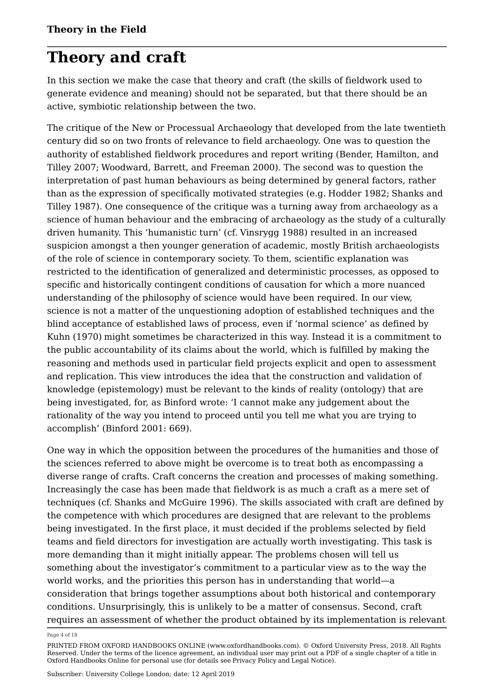# **Theory and craft**

In this section we make the case that theory and craft (the skills of fieldwork used to generate evidence and meaning) should not be separated, but that there should be an active, symbiotic relationship between the two.

The critique of the New or Processual Archaeology that developed from the late twentieth century did so on two fronts of relevance to field archaeology. One was to question the authority of established fieldwork procedures and report writing (Bender, Hamilton, and Tilley 2007; Woodward, Barrett, and Freeman 2000). The second was to question the interpretation of past human behaviours as being determined by general factors, rather than as the expression of specifically motivated strategies (e.g. Hodder 1982; Shanks and Tilley 1987). One consequence of the critique was a turning away from archaeology as a science of human behaviour and the embracing of archaeology as the study of a culturally driven humanity. This 'humanistic turn' (cf. Vinsrygg 1988) resulted in an increased suspicion amongst a then younger generation of academic, mostly British archaeologists of the role of science in contemporary society. To them, scientific explanation was restricted to the identification of generalized and deterministic processes, as opposed to specific and historically contingent conditions of causation for which a more nuanced understanding of the philosophy of science would have been required. In our view, science is not a matter of the unquestioning adoption of established techniques and the blind acceptance of established laws of process, even if 'normal science' as defined by Kuhn (1970) might sometimes be characterized in this way. Instead it is a commitment to the public accountability of its claims about the world, which is fulfilled by making the reasoning and methods used in particular field projects explicit and open to assessment and replication. This view introduces the idea that the construction and validation of knowledge (epistemology) must be relevant to the kinds of reality (ontology) that are being investigated, for, as Binford wrote: 'I cannot make any judgement about the rationality of the way you intend to proceed until you tell me what you are trying to accomplish' (Binford 2001: 669).

One way in which the opposition between the procedures of the humanities and those of the sciences referred to above might be overcome is to treat both as encompassing a diverse range of crafts. Craft concerns the creation and processes of making something. Increasingly the case has been made that fieldwork is as much a craft as a mere set of techniques (cf. Shanks and McGuire 1996). The skills associated with craft are defined by the competence with which procedures are designed that are relevant to the problems being investigated. In the first place, it must decided if the problems selected by field teams and field directors for investigation are actually worth investigating. This task is more demanding than it might initially appear. The problems chosen will tell us something about the investigator's commitment to a particular view as to the way the world works, and the priorities this person has in understanding that world—a consideration that brings together assumptions about both historical and contemporary conditions. Unsurprisingly, this is unlikely to be a matter of consensus. Second, craft requires an assessment of whether the product obtained by its implementation is relevant

Page 4 of 18

PRINTED FROM OXFORD HANDBOOKS ONLINE (www.oxfordhandbooks.com). © Oxford University Press, 2018. All Rights Reserved. Under the terms of the licence agreement, an individual user may print out a PDF of a single chapter of a title in Oxford Handbooks Online for personal use (for details see Privacy Policy and Legal Notice).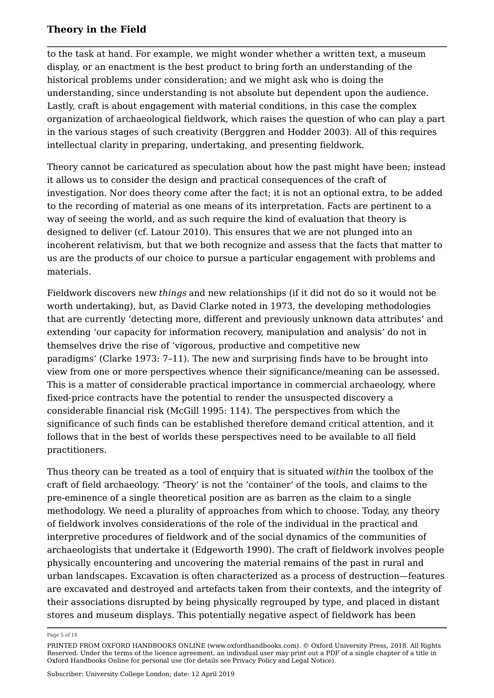to the task at hand. For example, we might wonder whether a written text, a museum display, or an enactment is the best product to bring forth an understanding of the historical problems under consideration; and we might ask who is doing the understanding, since understanding is not absolute but dependent upon the audience. Lastly, craft is about engagement with material conditions, in this case the complex organization of archaeological fieldwork, which raises the question of who can play a part in the various stages of such creativity (Berggren and Hodder 2003). All of this requires intellectual clarity in preparing, undertaking, and presenting fieldwork.

Theory cannot be caricatured as speculation about how the past might have been; instead it allows us to consider the design and practical consequences of the craft of investigation. Nor does theory come after the fact; it is not an optional extra, to be added to the recording of material as one means of its interpretation. Facts are pertinent to a way of seeing the world, and as such require the kind of evaluation that theory is designed to deliver (cf. Latour 2010). This ensures that we are not plunged into an incoherent relativism, but that we both recognize and assess that the facts that matter to us are the products of our choice to pursue a particular engagement with problems and materials.

Fieldwork discovers new *things* and new relationships (if it did not do so it would not be worth undertaking), but, as David Clarke noted in 1973, the developing methodologies that are currently 'detecting more, different and previously unknown data attributes' and extending 'our capacity for information recovery, manipulation and analysis' do not in themselves drive the rise of 'vigorous, productive and competitive new paradigms' (Clarke 1973: 7–11). The new and surprising finds have to be brought into view from one or more perspectives whence their significance/meaning can be assessed. This is a matter of considerable practical importance in commercial archaeology, where fixed-price contracts have the potential to render the unsuspected discovery a considerable financial risk (McGill 1995: 114). The perspectives from which the significance of such finds can be established therefore demand critical attention, and it follows that in the best of worlds these perspectives need to be available to all field practitioners.

Thus theory can be treated as a tool of enquiry that is situated *within* the toolbox of the craft of field archaeology. 'Theory' is not the 'container' of the tools, and claims to the pre-eminence of a single theoretical position are as barren as the claim to a single methodology. We need a plurality of approaches from which to choose. Today, any theory of fieldwork involves considerations of the role of the individual in the practical and interpretive procedures of fieldwork and of the social dynamics of the communities of archaeologists that undertake it (Edgeworth 1990). The craft of fieldwork involves people physically encountering and uncovering the material remains of the past in rural and urban landscapes. Excavation is often characterized as a process of destruction—features are excavated and destroyed and artefacts taken from their contexts, and the integrity of their associations disrupted by being physically regrouped by type, and placed in distant stores and museum displays. This potentially negative aspect of fieldwork has been

Page 5 of 18

PRINTED FROM OXFORD HANDBOOKS ONLINE (www.oxfordhandbooks.com). © Oxford University Press, 2018. All Rights Reserved. Under the terms of the licence agreement, an individual user may print out a PDF of a single chapter of a title in Oxford Handbooks Online for personal use (for details see Privacy Policy and Legal Notice).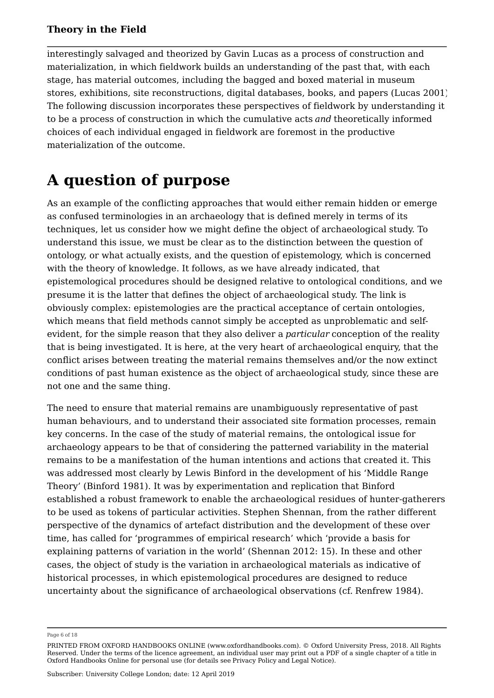interestingly salvaged and theorized by Gavin Lucas as a process of construction and materialization, in which fieldwork builds an understanding of the past that, with each stage, has material outcomes, including the bagged and boxed material in museum stores, exhibitions, site reconstructions, digital databases, books, and papers (Lucas 2001). The following discussion incorporates these perspectives of fieldwork by understanding it to be a process of construction in which the cumulative acts *and* theoretically informed choices of each individual engaged in fieldwork are foremost in the productive materialization of the outcome.

# **A question of purpose**

As an example of the conflicting approaches that would either remain hidden or emerge as confused terminologies in an archaeology that is defined merely in terms of its techniques, let us consider how we might define the object of archaeological study. To understand this issue, we must be clear as to the distinction between the question of ontology, or what actually exists, and the question of epistemology, which is concerned with the theory of knowledge. It follows, as we have already indicated, that epistemological procedures should be designed relative to ontological conditions, and we presume it is the latter that defines the object of archaeological study. The link is obviously complex: epistemologies are the practical acceptance of certain ontologies, which means that field methods cannot simply be accepted as unproblematic and selfevident, for the simple reason that they also deliver a *particular* conception of the reality that is being investigated. It is here, at the very heart of archaeological enquiry, that the conflict arises between treating the material remains themselves and/or the now extinct conditions of past human existence as the object of archaeological study, since these are not one and the same thing.

The need to ensure that material remains are unambiguously representative of past human behaviours, and to understand their associated site formation processes, remain key concerns. In the case of the study of material remains, the ontological issue for archaeology appears to be that of considering the patterned variability in the material remains to be a manifestation of the human intentions and actions that created it. This was addressed most clearly by Lewis Binford in the development of his 'Middle Range Theory' (Binford 1981). It was by experimentation and replication that Binford established a robust framework to enable the archaeological residues of hunter-gatherers to be used as tokens of particular activities. Stephen Shennan, from the rather different perspective of the dynamics of artefact distribution and the development of these over time, has called for 'programmes of empirical research' which 'provide a basis for explaining patterns of variation in the world' (Shennan 2012: 15). In these and other cases, the object of study is the variation in archaeological materials as indicative of historical processes, in which epistemological procedures are designed to reduce uncertainty about the significance of archaeological observations (cf. Renfrew 1984).

Page 6 of 18

PRINTED FROM OXFORD HANDBOOKS ONLINE (www.oxfordhandbooks.com). © Oxford University Press, 2018. All Rights Reserved. Under the terms of the licence agreement, an individual user may print out a PDF of a single chapter of a title in Oxford Handbooks Online for personal use (for details see Privacy Policy and Legal Notice).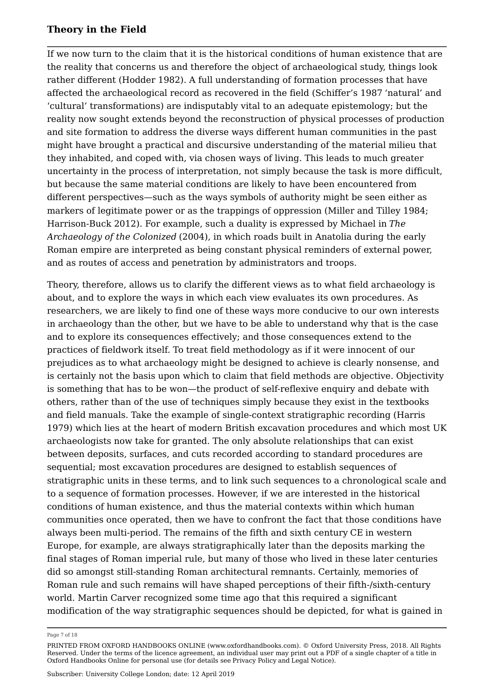If we now turn to the claim that it is the historical conditions of human existence that are the reality that concerns us and therefore the object of archaeological study, things look rather different (Hodder 1982). A full understanding of formation processes that have affected the archaeological record as recovered in the field (Schiffer's 1987 'natural' and 'cultural' transformations) are indisputably vital to an adequate epistemology; but the reality now sought extends beyond the reconstruction of physical processes of production and site formation to address the diverse ways different human communities in the past might have brought a practical and discursive understanding of the material milieu that they inhabited, and coped with, via chosen ways of living. This leads to much greater uncertainty in the process of interpretation, not simply because the task is more difficult, but because the same material conditions are likely to have been encountered from different perspectives—such as the ways symbols of authority might be seen either as markers of legitimate power or as the trappings of oppression (Miller and Tilley 1984; Harrison-Buck 2012). For example, such a duality is expressed by Michael in *The Archaeology of the Colonized* (2004), in which roads built in Anatolia during the early Roman empire are interpreted as being constant physical reminders of external power, and as routes of access and penetration by administrators and troops.

Theory, therefore, allows us to clarify the different views as to what field archaeology is about, and to explore the ways in which each view evaluates its own procedures. As researchers, we are likely to find one of these ways more conducive to our own interests in archaeology than the other, but we have to be able to understand why that is the case and to explore its consequences effectively; and those consequences extend to the practices of fieldwork itself. To treat field methodology as if it were innocent of our prejudices as to what archaeology might be designed to achieve is clearly nonsense, and is certainly not the basis upon which to claim that field methods are objective. Objectivity is something that has to be won—the product of self-reflexive enquiry and debate with others, rather than of the use of techniques simply because they exist in the textbooks and field manuals. Take the example of single-context stratigraphic recording (Harris 1979) which lies at the heart of modern British excavation procedures and which most UK archaeologists now take for granted. The only absolute relationships that can exist between deposits, surfaces, and cuts recorded according to standard procedures are sequential; most excavation procedures are designed to establish sequences of stratigraphic units in these terms, and to link such sequences to a chronological scale and to a sequence of formation processes. However, if we are interested in the historical conditions of human existence, and thus the material contexts within which human communities once operated, then we have to confront the fact that those conditions have always been multi-period. The remains of the fifth and sixth century CE in western Europe, for example, are always stratigraphically later than the deposits marking the final stages of Roman imperial rule, but many of those who lived in these later centuries did so amongst still-standing Roman architectural remnants. Certainly, memories of Roman rule and such remains will have shaped perceptions of their fifth-/sixth-century world. Martin Carver recognized some time ago that this required a significant modification of the way stratigraphic sequences should be depicted, for what is gained in

Page 7 of 18

PRINTED FROM OXFORD HANDBOOKS ONLINE (www.oxfordhandbooks.com). © Oxford University Press, 2018. All Rights Reserved. Under the terms of the licence agreement, an individual user may print out a PDF of a single chapter of a title in Oxford Handbooks Online for personal use (for details see Privacy Policy and Legal Notice).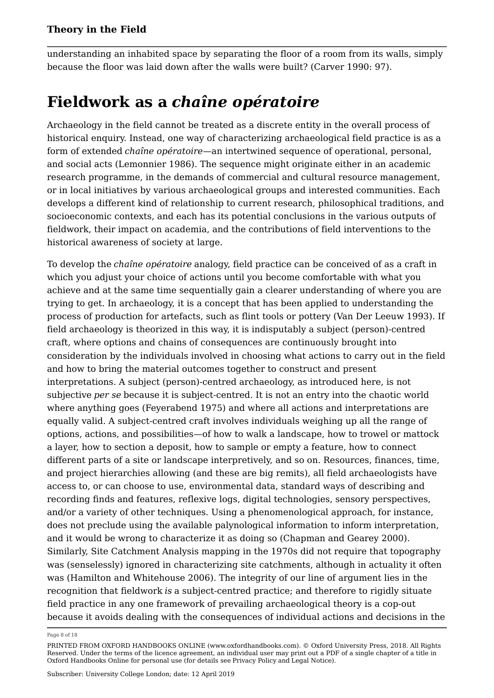understanding an inhabited space by separating the floor of a room from its walls, simply because the floor was laid down after the walls were built? (Carver 1990: 97).

# **Fieldwork as a** *chaîne opératoire*

Archaeology in the field cannot be treated as a discrete entity in the overall process of historical enquiry. Instead, one way of characterizing archaeological field practice is as a form of extended *chaîne opératoire*—an intertwined sequence of operational, personal, and social acts (Lemonnier 1986). The sequence might originate either in an academic research programme, in the demands of commercial and cultural resource management, or in local initiatives by various archaeological groups and interested communities. Each develops a different kind of relationship to current research, philosophical traditions, and socioeconomic contexts, and each has its potential conclusions in the various outputs of fieldwork, their impact on academia, and the contributions of field interventions to the historical awareness of society at large.

To develop the *chaîne opératoire* analogy, field practice can be conceived of as a craft in which you adjust your choice of actions until you become comfortable with what you achieve and at the same time sequentially gain a clearer understanding of where you are trying to get. In archaeology, it is a concept that has been applied to understanding the process of production for artefacts, such as flint tools or pottery (Van Der Leeuw 1993). If field archaeology is theorized in this way, it is indisputably a subject (person)-centred craft, where options and chains of consequences are continuously brought into consideration by the individuals involved in choosing what actions to carry out in the field and how to bring the material outcomes together to construct and present interpretations. A subject (person)-centred archaeology, as introduced here, is not subjective *per se* because it is subject-centred. It is not an entry into the chaotic world where anything goes (Feyerabend 1975) and where all actions and interpretations are equally valid. A subject-centred craft involves individuals weighing up all the range of options, actions, and possibilities—of how to walk a landscape, how to trowel or mattock a layer, how to section a deposit, how to sample or empty a feature, how to connect different parts of a site or landscape interpretively, and so on. Resources, finances, time, and project hierarchies allowing (and these are big remits), all field archaeologists have access to, or can choose to use, environmental data, standard ways of describing and recording finds and features, reflexive logs, digital technologies, sensory perspectives, and/or a variety of other techniques. Using a phenomenological approach, for instance, does not preclude using the available palynological information to inform interpretation, and it would be wrong to characterize it as doing so (Chapman and Gearey 2000). Similarly, Site Catchment Analysis mapping in the 1970s did not require that topography was (senselessly) ignored in characterizing site catchments, although in actuality it often was (Hamilton and Whitehouse 2006). The integrity of our line of argument lies in the recognition that fieldwork *is* a subject-centred practice; and therefore to rigidly situate field practice in any one framework of prevailing archaeological theory is a cop-out because it avoids dealing with the consequences of individual actions and decisions in the

Page 8 of 18

PRINTED FROM OXFORD HANDBOOKS ONLINE (www.oxfordhandbooks.com). © Oxford University Press, 2018. All Rights Reserved. Under the terms of the licence agreement, an individual user may print out a PDF of a single chapter of a title in Oxford Handbooks Online for personal use (for details see Privacy Policy and Legal Notice).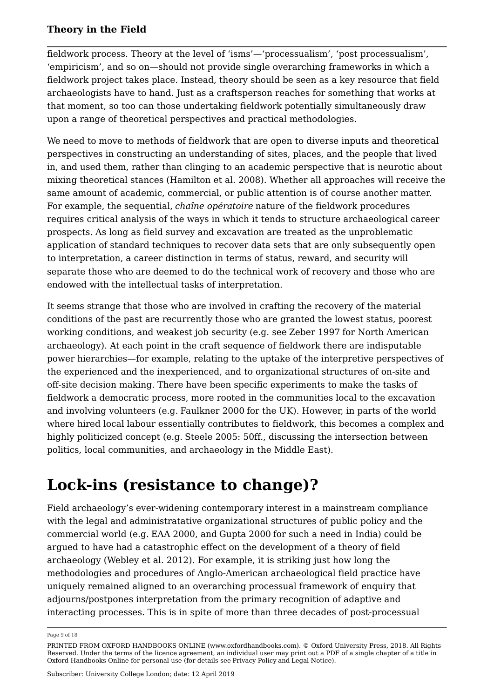fieldwork process. Theory at the level of 'isms'—'processualism', 'post processualism', 'empiricism', and so on—should not provide single overarching frameworks in which a fieldwork project takes place. Instead, theory should be seen as a key resource that field archaeologists have to hand. Just as a craftsperson reaches for something that works at that moment, so too can those undertaking fieldwork potentially simultaneously draw upon a range of theoretical perspectives and practical methodologies.

We need to move to methods of fieldwork that are open to diverse inputs and theoretical perspectives in constructing an understanding of sites, places, and the people that lived in, and used them, rather than clinging to an academic perspective that is neurotic about mixing theoretical stances (Hamilton et al. 2008). Whether all approaches will receive the same amount of academic, commercial, or public attention is of course another matter. For example, the sequential, *chaîne opératoire* nature of the fieldwork procedures requires critical analysis of the ways in which it tends to structure archaeological career prospects. As long as field survey and excavation are treated as the unproblematic application of standard techniques to recover data sets that are only subsequently open to interpretation, a career distinction in terms of status, reward, and security will separate those who are deemed to do the technical work of recovery and those who are endowed with the intellectual tasks of interpretation.

It seems strange that those who are involved in crafting the recovery of the material conditions of the past are recurrently those who are granted the lowest status, poorest working conditions, and weakest job security (e.g. see Zeber 1997 for North American archaeology). At each point in the craft sequence of fieldwork there are indisputable power hierarchies—for example, relating to the uptake of the interpretive perspectives of the experienced and the inexperienced, and to organizational structures of on-site and off-site decision making. There have been specific experiments to make the tasks of fieldwork a democratic process, more rooted in the communities local to the excavation and involving volunteers (e.g. Faulkner 2000 for the UK). However, in parts of the world where hired local labour essentially contributes to fieldwork, this becomes a complex and highly politicized concept (e.g. Steele 2005: 50ff., discussing the intersection between politics, local communities, and archaeology in the Middle East).

# **Lock-ins (resistance to change)?**

Field archaeology's ever-widening contemporary interest in a mainstream compliance with the legal and administratative organizational structures of public policy and the commercial world (e.g. EAA 2000, and Gupta 2000 for such a need in India) could be argued to have had a catastrophic effect on the development of a theory of field archaeology (Webley et al. 2012). For example, it is striking just how long the methodologies and procedures of Anglo-American archaeological field practice have uniquely remained aligned to an overarching processual framework of enquiry that adjourns/postpones interpretation from the primary recognition of adaptive and interacting processes. This is in spite of more than three decades of post-processual

Page 9 of 18

PRINTED FROM OXFORD HANDBOOKS ONLINE (www.oxfordhandbooks.com). © Oxford University Press, 2018. All Rights Reserved. Under the terms of the licence agreement, an individual user may print out a PDF of a single chapter of a title in Oxford Handbooks Online for personal use (for details see Privacy Policy and Legal Notice).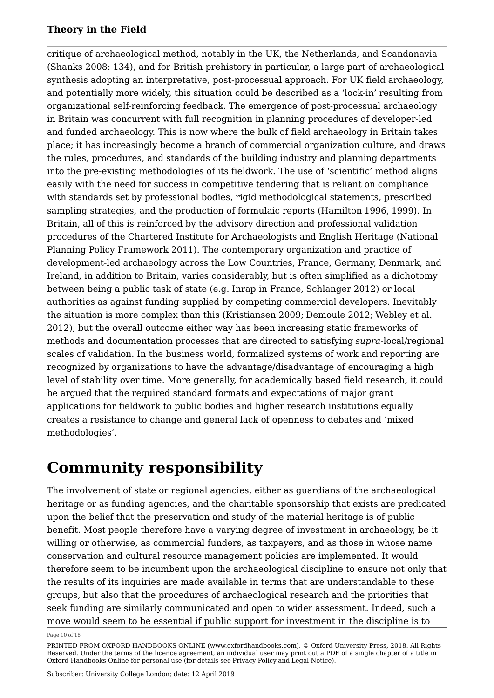critique of archaeological method, notably in the UK, the Netherlands, and Scandanavia (Shanks 2008: 134), and for British prehistory in particular, a large part of archaeological synthesis adopting an interpretative, post-processual approach. For UK field archaeology, and potentially more widely, this situation could be described as a 'lock-in' resulting from organizational self-reinforcing feedback. The emergence of post-processual archaeology in Britain was concurrent with full recognition in planning procedures of developer-led and funded archaeology. This is now where the bulk of field archaeology in Britain takes place; it has increasingly become a branch of commercial organization culture, and draws the rules, procedures, and standards of the building industry and planning departments into the pre-existing methodologies of its fieldwork. The use of 'scientific' method aligns easily with the need for success in competitive tendering that is reliant on compliance with standards set by professional bodies, rigid methodological statements, prescribed sampling strategies, and the production of formulaic reports (Hamilton 1996, 1999). In Britain, all of this is reinforced by the advisory direction and professional validation procedures of the Chartered Institute for Archaeologists and English Heritage (National Planning Policy Framework 2011). The contemporary organization and practice of development-led archaeology across the Low Countries, France, Germany, Denmark, and Ireland, in addition to Britain, varies considerably, but is often simplified as a dichotomy between being a public task of state (e.g. Inrap in France, Schlanger 2012) or local authorities as against funding supplied by competing commercial developers. Inevitably the situation is more complex than this (Kristiansen 2009; Demoule 2012; Webley et al. 2012), but the overall outcome either way has been increasing static frameworks of methods and documentation processes that are directed to satisfying *supra*-local/regional scales of validation. In the business world, formalized systems of work and reporting are recognized by organizations to have the advantage/disadvantage of encouraging a high level of stability over time. More generally, for academically based field research, it could be argued that the required standard formats and expectations of major grant applications for fieldwork to public bodies and higher research institutions equally creates a resistance to change and general lack of openness to debates and 'mixed methodologies'.

# **Community responsibility**

The involvement of state or regional agencies, either as guardians of the archaeological heritage or as funding agencies, and the charitable sponsorship that exists are predicated upon the belief that the preservation and study of the material heritage is of public benefit. Most people therefore have a varying degree of investment in archaeology, be it willing or otherwise, as commercial funders, as taxpayers, and as those in whose name conservation and cultural resource management policies are implemented. It would therefore seem to be incumbent upon the archaeological discipline to ensure not only that the results of its inquiries are made available in terms that are understandable to these groups, but also that the procedures of archaeological research and the priorities that seek funding are similarly communicated and open to wider assessment. Indeed, such a move would seem to be essential if public support for investment in the discipline is to

Page 10 of 18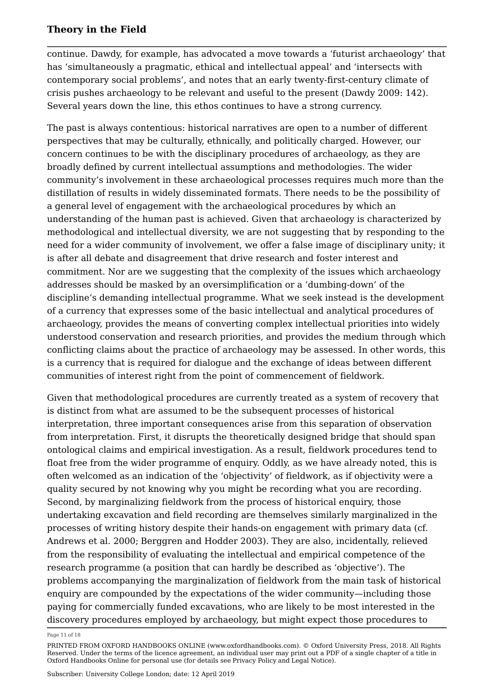continue. Dawdy, for example, has advocated a move towards a 'futurist archaeology' that has 'simultaneously a pragmatic, ethical and intellectual appeal' and 'intersects with contemporary social problems', and notes that an early twenty-first-century climate of crisis pushes archaeology to be relevant and useful to the present (Dawdy 2009: 142). Several years down the line, this ethos continues to have a strong currency.

The past is always contentious: historical narratives are open to a number of different perspectives that may be culturally, ethnically, and politically charged. However, our concern continues to be with the disciplinary procedures of archaeology, as they are broadly defined by current intellectual assumptions and methodologies. The wider community's involvement in these archaeological processes requires much more than the distillation of results in widely disseminated formats. There needs to be the possibility of a general level of engagement with the archaeological procedures by which an understanding of the human past is achieved. Given that archaeology is characterized by methodological and intellectual diversity, we are not suggesting that by responding to the need for a wider community of involvement, we offer a false image of disciplinary unity; it is after all debate and disagreement that drive research and foster interest and commitment. Nor are we suggesting that the complexity of the issues which archaeology addresses should be masked by an oversimplification or a 'dumbing-down' of the discipline's demanding intellectual programme. What we seek instead is the development of a currency that expresses some of the basic intellectual and analytical procedures of archaeology, provides the means of converting complex intellectual priorities into widely understood conservation and research priorities, and provides the medium through which conflicting claims about the practice of archaeology may be assessed. In other words, this is a currency that is required for dialogue and the exchange of ideas between different communities of interest right from the point of commencement of fieldwork.

Given that methodological procedures are currently treated as a system of recovery that is distinct from what are assumed to be the subsequent processes of historical interpretation, three important consequences arise from this separation of observation from interpretation. First, it disrupts the theoretically designed bridge that should span ontological claims and empirical investigation. As a result, fieldwork procedures tend to float free from the wider programme of enquiry. Oddly, as we have already noted, this is often welcomed as an indication of the 'objectivity' of fieldwork, as if objectivity were a quality secured by not knowing why you might be recording what you are recording. Second, by marginalizing fieldwork from the process of historical enquiry, those undertaking excavation and field recording are themselves similarly marginalized in the processes of writing history despite their hands-on engagement with primary data (cf. Andrews et al. 2000; Berggren and Hodder 2003). They are also, incidentally, relieved from the responsibility of evaluating the intellectual and empirical competence of the research programme (a position that can hardly be described as 'objective'). The problems accompanying the marginalization of fieldwork from the main task of historical enquiry are compounded by the expectations of the wider community—including those paying for commercially funded excavations, who are likely to be most interested in the discovery procedures employed by archaeology, but might expect those procedures to

Page 11 of 18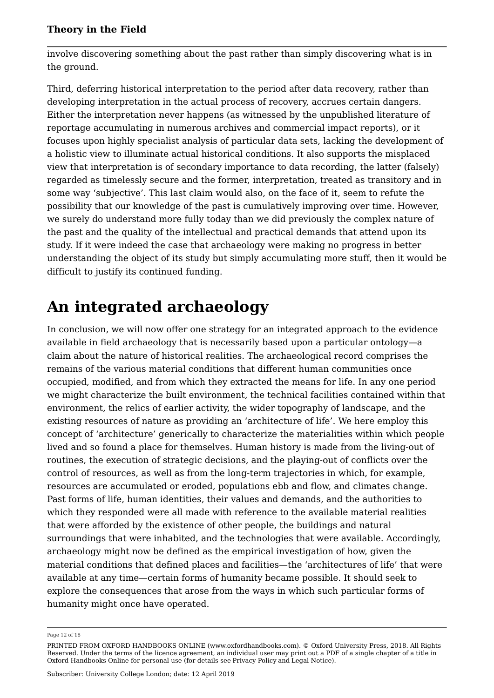involve discovering something about the past rather than simply discovering what is in the ground.

Third, deferring historical interpretation to the period after data recovery, rather than developing interpretation in the actual process of recovery, accrues certain dangers. Either the interpretation never happens (as witnessed by the unpublished literature of reportage accumulating in numerous archives and commercial impact reports), or it focuses upon highly specialist analysis of particular data sets, lacking the development of a holistic view to illuminate actual historical conditions. It also supports the misplaced view that interpretation is of secondary importance to data recording, the latter (falsely) regarded as timelessly secure and the former, interpretation, treated as transitory and in some way 'subjective'. This last claim would also, on the face of it, seem to refute the possibility that our knowledge of the past is cumulatively improving over time. However, we surely do understand more fully today than we did previously the complex nature of the past and the quality of the intellectual and practical demands that attend upon its study. If it were indeed the case that archaeology were making no progress in better understanding the object of its study but simply accumulating more stuff, then it would be difficult to justify its continued funding.

# **An integrated archaeology**

In conclusion, we will now offer one strategy for an integrated approach to the evidence available in field archaeology that is necessarily based upon a particular ontology—a claim about the nature of historical realities. The archaeological record comprises the remains of the various material conditions that different human communities once occupied, modified, and from which they extracted the means for life. In any one period we might characterize the built environment, the technical facilities contained within that environment, the relics of earlier activity, the wider topography of landscape, and the existing resources of nature as providing an 'architecture of life'. We here employ this concept of 'architecture' generically to characterize the materialities within which people lived and so found a place for themselves. Human history is made from the living-out of routines, the execution of strategic decisions, and the playing-out of conflicts over the control of resources, as well as from the long-term trajectories in which, for example, resources are accumulated or eroded, populations ebb and flow, and climates change. Past forms of life, human identities, their values and demands, and the authorities to which they responded were all made with reference to the available material realities that were afforded by the existence of other people, the buildings and natural surroundings that were inhabited, and the technologies that were available. Accordingly, archaeology might now be defined as the empirical investigation of how, given the material conditions that defined places and facilities—the 'architectures of life' that were available at any time—certain forms of humanity became possible. It should seek to explore the consequences that arose from the ways in which such particular forms of humanity might once have operated.

Page 12 of 18

PRINTED FROM OXFORD HANDBOOKS ONLINE (www.oxfordhandbooks.com). © Oxford University Press, 2018. All Rights Reserved. Under the terms of the licence agreement, an individual user may print out a PDF of a single chapter of a title in Oxford Handbooks Online for personal use (for details see Privacy Policy and Legal Notice).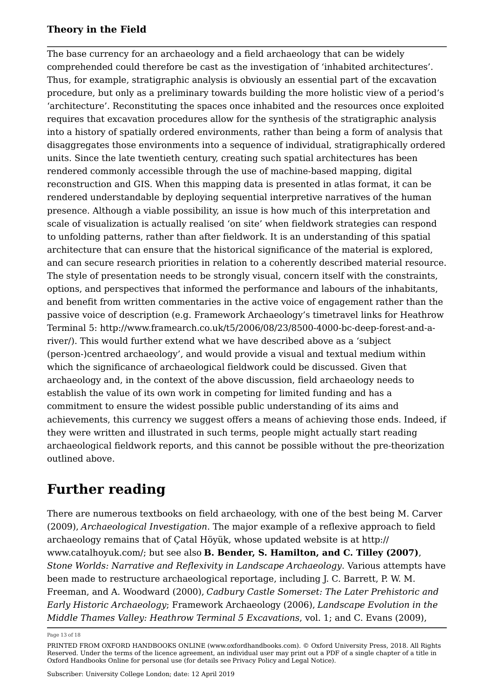The base currency for an archaeology and a field archaeology that can be widely comprehended could therefore be cast as the investigation of 'inhabited architectures'. Thus, for example, stratigraphic analysis is obviously an essential part of the excavation procedure, but only as a preliminary towards building the more holistic view of a period's 'architecture'. Reconstituting the spaces once inhabited and the resources once exploited requires that excavation procedures allow for the synthesis of the stratigraphic analysis into a history of spatially ordered environments, rather than being a form of analysis that disaggregates those environments into a sequence of individual, stratigraphically ordered units. Since the late twentieth century, creating such spatial architectures has been rendered commonly accessible through the use of machine-based mapping, digital reconstruction and GIS. When this mapping data is presented in atlas format, it can be rendered understandable by deploying sequential interpretive narratives of the human presence. Although a viable possibility, an issue is how much of this interpretation and scale of visualization is actually realised 'on site' when fieldwork strategies can respond to unfolding patterns, rather than after fieldwork. It is an understanding of this spatial architecture that can ensure that the historical significance of the material is explored, and can secure research priorities in relation to a coherently described material resource. The style of presentation needs to be strongly visual, concern itself with the constraints, options, and perspectives that informed the performance and labours of the inhabitants, and benefit from written commentaries in the active voice of engagement rather than the passive voice of description (e.g. Framework Archaeology's timetravel links for Heathrow Terminal 5: http://www.framearch.co.uk/t5/2006/08/23/8500-4000-bc-deep-forest-and-ariver/). This would further extend what we have described above as a 'subject (person-)centred archaeology', and would provide a visual and textual medium within which the significance of archaeological fieldwork could be discussed. Given that archaeology and, in the context of the above discussion, field archaeology needs to establish the value of its own work in competing for limited funding and has a commitment to ensure the widest possible public understanding of its aims and achievements, this currency we suggest offers a means of achieving those ends. Indeed, if they were written and illustrated in such terms, people might actually start reading archaeological fieldwork reports, and this cannot be possible without the pre-theorization outlined above.

### **Further reading**

There are numerous textbooks on field archaeology, with one of the best being M. Carver (2009), *Archaeological Investigation*. The major example of a reflexive approach to field archaeology remains that of Çatal Höyük, whose updated website is at http:// www.catalhoyuk.com/; but see also **B. Bender, S. Hamilton, and C. Tilley (2007)**, *Stone Worlds: Narrative and Reflexivity in Landscape Archaeology*. Various attempts have been made to restructure archaeological reportage, including J. C. Barrett, P. W. M. Freeman, and A. Woodward (2000), *Cadbury Castle Somerset: The Later Prehistoric and Early Historic Archaeology*; Framework Archaeology (2006), *Landscape Evolution in the Middle Thames Valley: Heathrow Terminal 5 Excavations*, vol. 1; and C. Evans (2009),

Page 13 of 18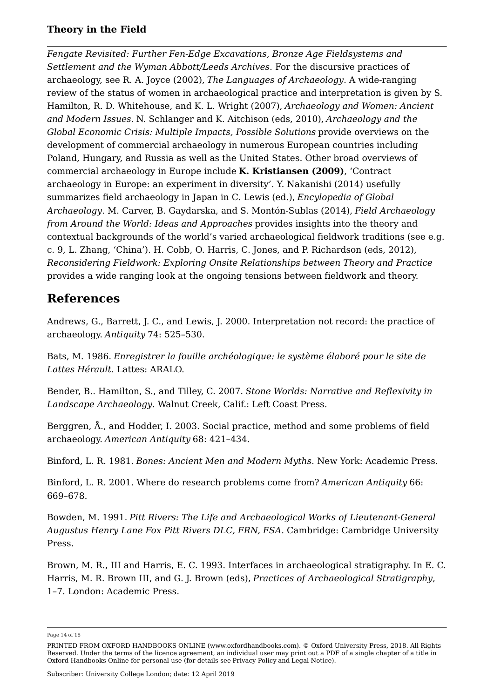*Fengate Revisited: Further Fen-Edge Excavations, Bronze Age Fieldsystems and Settlement and the Wyman Abbott/Leeds Archives*. For the discursive practices of archaeology, see R. A. Joyce (2002), *The Languages of Archaeology*. A wide-ranging review of the status of women in archaeological practice and interpretation is given by S. Hamilton, R. D. Whitehouse, and K. L. Wright (2007), *Archaeology and Women: Ancient and Modern Issues.* N. Schlanger and K. Aitchison (eds, 2010), *Archaeology and the Global Economic Crisis: Multiple Impacts, Possible Solutions* provide overviews on the development of commercial archaeology in numerous European countries including Poland, Hungary, and Russia as well as the United States. Other broad overviews of commercial archaeology in Europe include **K. Kristiansen (2009)**, 'Contract archaeology in Europe: an experiment in diversity'. Y. Nakanishi (2014) usefully summarizes field archaeology in Japan in C. Lewis (ed.), *Encylopedia of Global Archaeology*. M. Carver, B. Gaydarska, and S. Montón-Sublas (2014), *Field Archaeology from Around the World: Ideas and Approaches* provides insights into the theory and contextual backgrounds of the world's varied archaeological fieldwork traditions (see e.g. c. 9, L. Zhang, 'China'). H. Cobb, O. Harris, C. Jones, and P. Richardson (eds, 2012), *Reconsidering Fieldwork: Exploring Onsite Relationships between Theory and Practice* provides a wide ranging look at the ongoing tensions between fieldwork and theory.

### **References**

Andrews, G., Barrett, J. C., and Lewis, J. 2000. Interpretation not record: the practice of archaeology. *Antiquity* 74: 525–530.

Bats, M. 1986. *Enregistrer la fouille archéologique: le système élaboré pour le site de Lattes Hérault*. Lattes: ARALO.

Bender, B.. Hamilton, S., and Tilley, C. 2007. *Stone Worlds: Narrative and Reflexivity in Landscape Archaeology*. Walnut Creek, Calif.: Left Coast Press.

Berggren, Å., and Hodder, I. 2003. Social practice, method and some problems of field archaeology. *American Antiquity* 68: 421–434.

Binford, L. R. 1981. *Bones: Ancient Men and Modern Myths*. New York: Academic Press.

Binford, L. R. 2001. Where do research problems come from? *American Antiquity* 66: 669–678.

Bowden, M. 1991. *Pitt Rivers: The Life and Archaeological Works of Lieutenant-General Augustus Henry Lane Fox Pitt Rivers DLC, FRN, FSA*. Cambridge: Cambridge University Press.

Brown, M. R., III and Harris, E. C. 1993. Interfaces in archaeological stratigraphy. In E. C. Harris, M. R. Brown III, and G. J. Brown (eds), *Practices of Archaeological Stratigraphy*, 1–7. London: Academic Press.

Page 14 of 18

PRINTED FROM OXFORD HANDBOOKS ONLINE (www.oxfordhandbooks.com). © Oxford University Press, 2018. All Rights Reserved. Under the terms of the licence agreement, an individual user may print out a PDF of a single chapter of a title in Oxford Handbooks Online for personal use (for details see Privacy Policy and Legal Notice).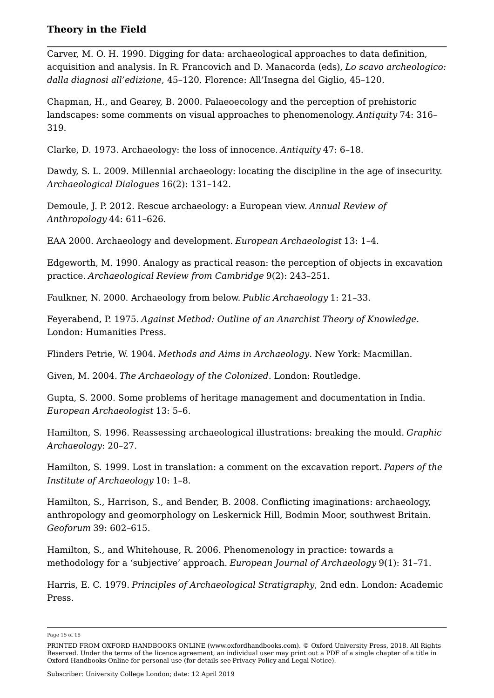Carver, M. O. H. 1990. Digging for data: archaeological approaches to data definition, acquisition and analysis. In R. Francovich and D. Manacorda (eds), *Lo scavo archeologico: dalla diagnosi all'edizione*, 45–120. Florence: All'Insegna del Giglio, 45–120.

Chapman, H., and Gearey, B. 2000. Palaeoecology and the perception of prehistoric landscapes: some comments on visual approaches to phenomenology. *Antiquity* 74: 316– 319.

Clarke, D. 1973. Archaeology: the loss of innocence. *Antiquity* 47: 6–18.

Dawdy, S. L. 2009. Millennial archaeology: locating the discipline in the age of insecurity. *Archaeological Dialogues* 16(2): 131–142.

Demoule, J. P. 2012. Rescue archaeology: a European view. *Annual Review of Anthropology* 44: 611–626.

EAA 2000. Archaeology and development. *European Archaeologist* 13: 1–4.

Edgeworth, M. 1990. Analogy as practical reason: the perception of objects in excavation practice. *Archaeological Review from Cambridge* 9(2): 243–251.

Faulkner, N. 2000. Archaeology from below. *Public Archaeology* 1: 21–33.

Feyerabend, P. 1975. *Against Method: Outline of an Anarchist Theory of Knowledge*. London: Humanities Press.

Flinders Petrie, W. 1904. *Methods and Aims in Archaeology*. New York: Macmillan.

Given, M. 2004. *The Archaeology of the Colonized*. London: Routledge.

Gupta, S. 2000. Some problems of heritage management and documentation in India. *European Archaeologist* 13: 5–6.

Hamilton, S. 1996. Reassessing archaeological illustrations: breaking the mould. *Graphic Archaeology*: 20–27.

Hamilton, S. 1999. Lost in translation: a comment on the excavation report. *Papers of the Institute of Archaeology* 10: 1–8.

Hamilton, S., Harrison, S., and Bender, B. 2008. Conflicting imaginations: archaeology, anthropology and geomorphology on Leskernick Hill, Bodmin Moor, southwest Britain. *Geoforum* 39: 602–615.

Hamilton, S., and Whitehouse, R. 2006. Phenomenology in practice: towards a methodology for a 'subjective' approach. *European Journal of Archaeology* 9(1): 31–71.

Harris, E. C. 1979. *Principles of Archaeological Stratigraphy*, 2nd edn. London: Academic Press.

Page 15 of 18

PRINTED FROM OXFORD HANDBOOKS ONLINE (www.oxfordhandbooks.com). © Oxford University Press, 2018. All Rights Reserved. Under the terms of the licence agreement, an individual user may print out a PDF of a single chapter of a title in Oxford Handbooks Online for personal use (for details see Privacy Policy and Legal Notice).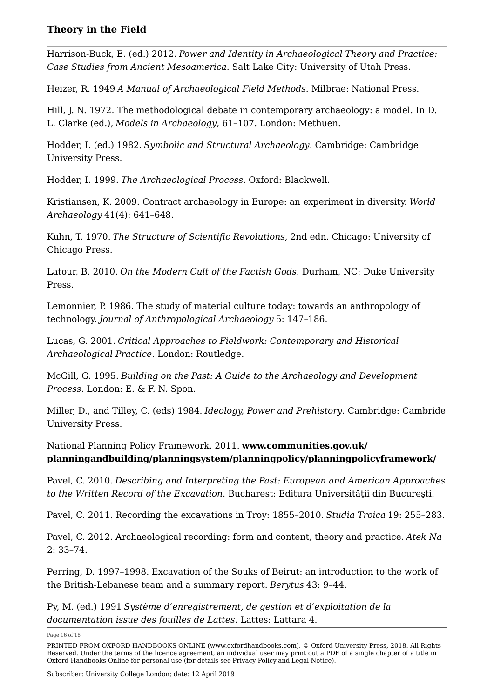Harrison-Buck, E. (ed.) 2012. *Power and Identity in Archaeological Theory and Practice: Case Studies from Ancient Mesoamerica*. Salt Lake City: University of Utah Press.

Heizer, R. 1949 *A Manual of Archaeological Field Methods*. Milbrae: National Press.

Hill, J. N. 1972. The methodological debate in contemporary archaeology: a model. In D. L. Clarke (ed.), *Models in Archaeology*, 61–107. London: Methuen.

Hodder, I. (ed.) 1982. *Symbolic and Structural Archaeology*. Cambridge: Cambridge University Press.

Hodder, I. 1999. *The Archaeological Process*. Oxford: Blackwell.

Kristiansen, K. 2009. Contract archaeology in Europe: an experiment in diversity. *World Archaeology* 41(4): 641–648.

Kuhn, T. 1970. *The Structure of Scientific Revolutions*, 2nd edn. Chicago: University of Chicago Press.

Latour, B. 2010. *On the Modern Cult of the Factish Gods*. Durham, NC: Duke University Press.

Lemonnier, P. 1986. The study of material culture today: towards an anthropology of technology. *Journal of Anthropological Archaeology* 5: 147–186.

Lucas, G. 2001. *Critical Approaches to Fieldwork: Contemporary and Historical Archaeological Practice*. London: Routledge.

McGill, G. 1995. *Building on the Past: A Guide to the Archaeology and Development Process*. London: E. & F. N. Spon.

Miller, D., and Tilley, C. (eds) 1984. *Ideology, Power and Prehistory*. Cambridge: Cambride University Press.

National Planning Policy Framework. 2011. **www.communities.gov.uk/ planningandbuilding/planningsystem/planningpolicy/planningpolicyframework/**

Pavel, C. 2010. *Describing and Interpreting the Past: European and American Approaches to the Written Record of the Excavation*. Bucharest: Editura Universităţii din Bucureşti.

Pavel, C. 2011. Recording the excavations in Troy: 1855–2010. *Studia Troica* 19: 255–283.

Pavel, C. 2012. Archaeological recording: form and content, theory and practice. *Atek Na* 2: 33–74.

Perring, D. 1997–1998. Excavation of the Souks of Beirut: an introduction to the work of the British-Lebanese team and a summary report. *Berytus* 43: 9–44.

Py, M. (ed.) 1991 *Système d'enregistrement, de gestion et d'exploitation de la documentation issue des fouilles de Lattes*. Lattes: Lattara 4.

Page 16 of 18

PRINTED FROM OXFORD HANDBOOKS ONLINE (www.oxfordhandbooks.com). © Oxford University Press, 2018. All Rights Reserved. Under the terms of the licence agreement, an individual user may print out a PDF of a single chapter of a title in Oxford Handbooks Online for personal use (for details see Privacy Policy and Legal Notice).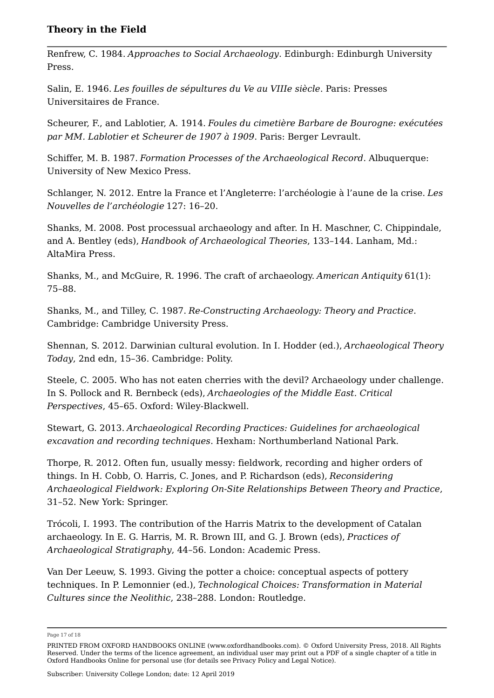Renfrew, C. 1984. *Approaches to Social Archaeology*. Edinburgh: Edinburgh University Press.

Salin, E. 1946. *Les fouilles de sépultures du Ve au VIIIe siècle*. Paris: Presses Universitaires de France.

Scheurer, F., and Lablotier, A. 1914. *Foules du cimetière Barbare de Bourogne: exécutées par MM. Lablotier et Scheurer de 1907 à 1909*. Paris: Berger Levrault.

Schiffer, M. B. 1987. *Formation Processes of the Archaeological Record*. Albuquerque: University of New Mexico Press.

Schlanger, N. 2012. Entre la France et l'Angleterre: l'archéologie à l'aune de la crise. *Les Nouvelles de l'archéologie* 127: 16–20.

Shanks, M. 2008. Post processual archaeology and after. In H. Maschner, C. Chippindale, and A. Bentley (eds), *Handbook of Archaeological Theories*, 133–144. Lanham, Md.: AltaMira Press.

Shanks, M., and McGuire, R. 1996. The craft of archaeology. *American Antiquity* 61(1): 75–88.

Shanks, M., and Tilley, C. 1987. *Re-Constructing Archaeology: Theory and Practice*. Cambridge: Cambridge University Press.

Shennan, S. 2012. Darwinian cultural evolution. In I. Hodder (ed.), *Archaeological Theory Today*, 2nd edn, 15–36. Cambridge: Polity.

Steele, C. 2005. Who has not eaten cherries with the devil? Archaeology under challenge. In S. Pollock and R. Bernbeck (eds), *Archaeologies of the Middle East. Critical Perspectives*, 45–65. Oxford: Wiley-Blackwell.

Stewart, G. 2013. *Archaeological Recording Practices: Guidelines for archaeological excavation and recording techniques*. Hexham: Northumberland National Park.

Thorpe, R. 2012. Often fun, usually messy: fieldwork, recording and higher orders of things. In H. Cobb, O. Harris, C. Jones, and P. Richardson (eds), *Reconsidering Archaeological Fieldwork: Exploring On-Site Relationships Between Theory and Practice*, 31–52. New York: Springer.

Trócoli, I. 1993. The contribution of the Harris Matrix to the development of Catalan archaeology. In E. G. Harris, M. R. Brown III, and G. J. Brown (eds), *Practices of Archaeological Stratigraphy*, 44–56. London: Academic Press.

Van Der Leeuw, S. 1993. Giving the potter a choice: conceptual aspects of pottery techniques. In P. Lemonnier (ed.), *Technological Choices: Transformation in Material Cultures since the Neolithic*, 238–288. London: Routledge.

Page 17 of 18

PRINTED FROM OXFORD HANDBOOKS ONLINE (www.oxfordhandbooks.com). © Oxford University Press, 2018. All Rights Reserved. Under the terms of the licence agreement, an individual user may print out a PDF of a single chapter of a title in Oxford Handbooks Online for personal use (for details see Privacy Policy and Legal Notice).